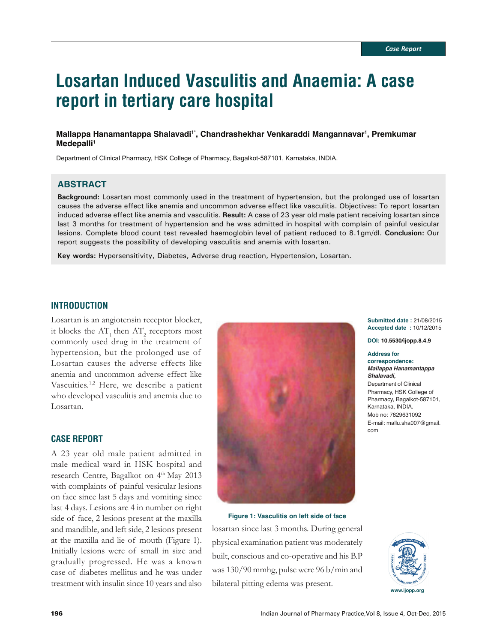# **Losartan Induced Vasculitis and Anaemia: A case report in tertiary care hospital**

#### **Mallappa Hanamantappa Shalavadi1\*, Chandrashekhar Venkaraddi Mangannavar1 , Premkumar**  Medepalli<sup>1</sup>

Department of Clinical Pharmacy, HSK College of Pharmacy, Bagalkot-587101, Karnataka, INDIA.

## **ABSTRACT**

**Background:** Losartan most commonly used in the treatment of hypertension, but the prolonged use of losartan causes the adverse effect like anemia and uncommon adverse effect like vasculitis. Objectives: To report losartan induced adverse effect like anemia and vasculitis. **Result:** A case of 23 year old male patient receiving losartan since last 3 months for treatment of hypertension and he was admitted in hospital with complain of painful vesicular lesions. Complete blood count test revealed haemoglobin level of patient reduced to 8.1gm/dl. **Conclusion:** Our report suggests the possibility of developing vasculitis and anemia with losartan.

**Key words:** Hypersensitivity, Diabetes, Adverse drug reaction, Hypertension, Losartan.

## **INTRODUCTION**

Losartan is an angiotensin receptor blocker, it blocks the  $AT_1$  then  $AT_2$  receptors most commonly used drug in the treatment of hypertension, but the prolonged use of Losartan causes the adverse effects like anemia and uncommon adverse effect like Vascuities.<sup>1,2</sup> Here, we describe a patient who developed vasculitis and anemia due to Losartan.

#### **CASE REPORT**

A 23 year old male patient admitted in male medical ward in HSK hospital and research Centre, Bagalkot on  $4<sup>th</sup>$  May 2013 with complaints of painful vesicular lesions on face since last 5 days and vomiting since last 4 days. Lesions are 4 in number on right side of face, 2 lesions present at the maxilla and mandible, and left side, 2 lesions present at the maxilla and lie of mouth (Figure 1). Initially lesions were of small in size and gradually progressed. He was a known case of diabetes mellitus and he was under treatment with insulin since 10 years and also



**Figure 1: Vasculitis on left side of face**

losartan since last 3 months. During general physical examination patient was moderately built, conscious and co-operative and his B.P was 130/90 mmhg, pulse were 96 b/min and bilateral pitting edema was present.

**Submitted date :** 21/08/2015 **Accepted date :** 10/12/2015

**DOI: 10.5530/ijopp.8.4.9**

#### **Address for correspondence:**

*Mallappa Hanamantappa Shalavadi,* Department of Clinical Pharmacy, HSK College of Pharmacy, Bagalkot-587101, Karnataka, INDIA. Mob no: 7829631092 E-mail: mallu.sha007@gmail. com

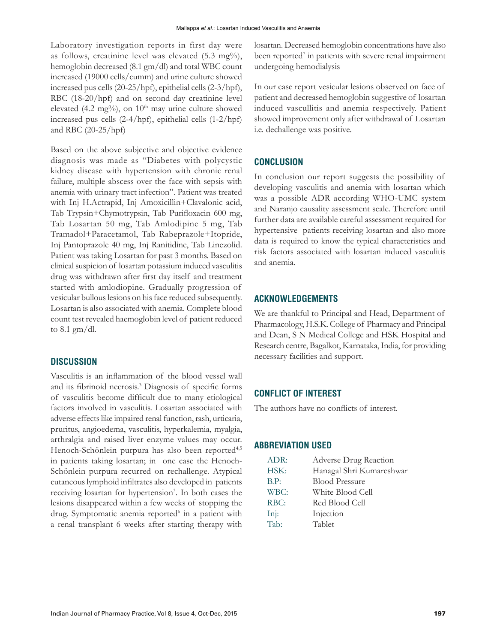Laboratory investigation reports in first day were as follows, creatinine level was elevated  $(5.3 \text{ mg\%})$ , hemoglobin decreased (8.1 gm/dl) and total WBC count increased (19000 cells/cumm) and urine culture showed increased pus cells (20-25/hpf), epithelial cells (2-3/hpf), RBC (18-20/hpf) and on second day creatinine level elevated (4.2 mg%), on  $10<sup>th</sup>$  may urine culture showed increased pus cells (2-4/hpf), epithelial cells (1-2/hpf) and RBC (20-25/hpf)

Based on the above subjective and objective evidence diagnosis was made as "Diabetes with polycystic kidney disease with hypertension with chronic renal failure, multiple abscess over the face with sepsis with anemia with urinary tract infection". Patient was treated with Inj H.Actrapid, Inj Amoxicillin+Clavalonic acid, Tab Trypsin+Chymotrypsin, Tab Purifloxacin 600 mg, Tab Losartan 50 mg, Tab Amlodipine 5 mg, Tab Tramadol+Paracetamol, Tab Rabeprazole+Itopride, Inj Pantoprazole 40 mg, Inj Ranitidine, Tab Linezolid. Patient was taking Losartan for past 3 months. Based on clinical suspicion of losartan potassium induced vasculitis drug was withdrawn after first day itself and treatment started with amlodiopine. Gradually progression of vesicular bullous lesions on his face reduced subsequently. Losartan is also associated with anemia. Complete blood count test revealed haemoglobin level of patient reduced to 8.1 gm/dl.

## **DISCUSSION**

Vasculitis is an inflammation of the blood vessel wall and its fibrinoid necrosis.<sup>3</sup> Diagnosis of specific forms of vasculitis become difficult due to many etiological factors involved in vasculitis. Losartan associated with adverse effects like impaired renal function, rash, urticaria, pruritus, angioedema, vasculitis, hyperkalemia, myalgia, arthralgia and raised liver enzyme values may occur. Henoch-Schönlein purpura has also been reported<sup>4,5</sup> in patients taking losartan; in one case the Henoch-Schönlein purpura recurred on rechallenge. Atypical cutaneous lymphoid infiltrates also developed in patients receiving losartan for hypertension<sup>3</sup>. In both cases the lesions disappeared within a few weeks of stopping the drug. Symptomatic anemia reported<sup>6</sup> in a patient with a renal transplant 6 weeks after starting therapy with

losartan. Decreased hemoglobin concentrations have also been reported<sup>7</sup> in patients with severe renal impairment undergoing hemodialysis

In our case report vesicular lesions observed on face of patient and decreased hemoglobin suggestive of losartan induced vascullitis and anemia respectively. Patient showed improvement only after withdrawal of Losartan i.e. dechallenge was positive.

#### **CONCLUSION**

In conclusion our report suggests the possibility of developing vasculitis and anemia with losartan which was a possible ADR according WHO-UMC system and Naranjo causality assessment scale. Therefore until further data are available careful assessment required for hypertensive patients receiving losartan and also more data is required to know the typical characteristics and risk factors associated with losartan induced vasculitis and anemia.

## **ACKNOWLEDGEMENTS**

We are thankful to Principal and Head, Department of Pharmacology, H.S.K. College of Pharmacy and Principal and Dean, S N Medical College and HSK Hospital and Research centre, Bagalkot, Karnataka, India, for providing necessary facilities and support.

## **CONFLICT OF INTEREST**

The authors have no conflicts of interest.

#### **ABBREVIATION USED**

| ADR: | Adverse Drug Reaction    |
|------|--------------------------|
| HSK: | Hanagal Shri Kumareshwar |
| B.P: | <b>Blood Pressure</b>    |
| WBC: | White Blood Cell         |
| RBC: | Red Blood Cell           |
| Inj: | Injection                |
| Tab: | Tablet                   |
|      |                          |